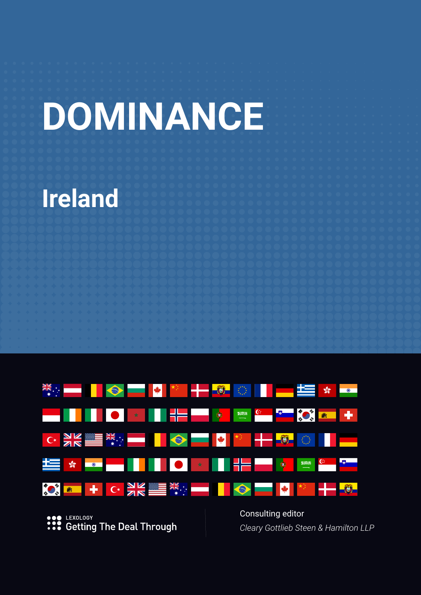# **DOMINANCE**

# **Ireland**



**SOP LEXOLOGY**<br> **•••** Getting The Deal Through

Consulting editor *Cleary Gottlieb Steen & Hamilton LLP*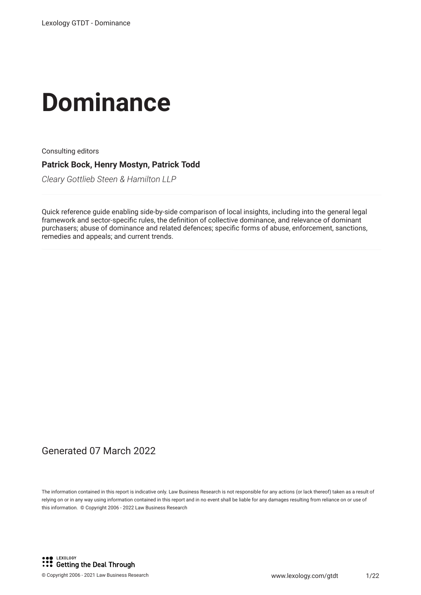# **Dominance**

Consulting editors

**Patrick Bock, Henry Mostyn, Patrick Todd**

*Cleary Gottlieb Steen & Hamilton LLP*

Quick reference guide enabling side-by-side comparison of local insights, including into the general legal framework and sector-specifc rules, the defnition of collective dominance, and relevance of dominant purchasers; abuse of dominance and related defences; specific forms of abuse, enforcement, sanctions, remedies and appeals; and current trends.

#### Generated 07 March 2022

The information contained in this report is indicative only. Law Business Research is not responsible for any actions (or lack thereof) taken as a result of relying on or in any way using information contained in this report and in no event shall be liable for any damages resulting from reliance on or use of this information. © Copyright 2006 - 2022 Law Business Research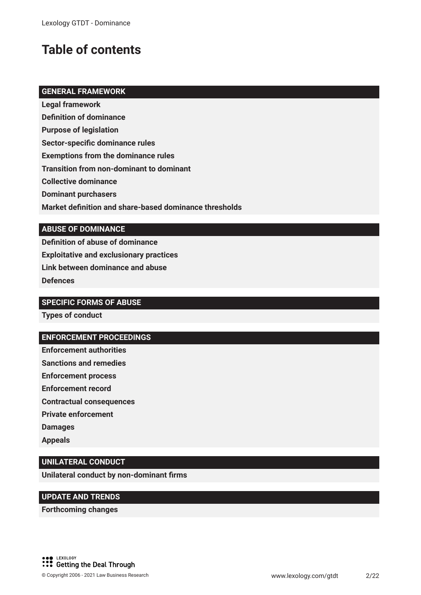## **Table of contents**

#### **GENERAL FRAMEWORK**

**Legal framework**

**Defnition of dominance**

**Purpose of legislation**

**Sector-specifc dominance rules**

**Exemptions from the dominance rules**

**Transition from non-dominant to dominant**

**Collective dominance**

**Dominant purchasers**

**Market defnition and share-based dominance thresholds**

#### **ABUSE OF DOMINANCE**

**Defnition of abuse of dominance Exploitative and exclusionary practices Link between dominance and abuse Defences**

#### **SPECIFIC FORMS OF ABUSE**

**Types of conduct**

#### **ENFORCEMENT PROCEEDINGS**

**Enforcement authorities**

**Sanctions and remedies**

**Enforcement process**

**Enforcement record**

**Contractual consequences**

**Private enforcement**

**Damages**

**Appeals**

#### **UNILATERAL CONDUCT**

**Unilateral conduct by non-dominant frms**

#### **UPDATE AND TRENDS**

**Forthcoming changes**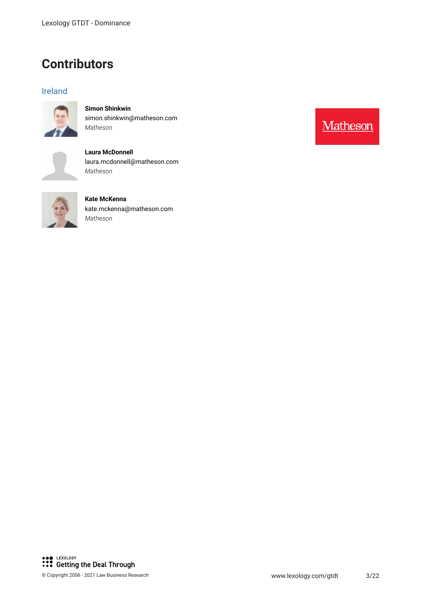### **Contributors**

#### Ireland



**Simon Shinkwin** simon.shinkwin@matheson.com *Matheson*



**Laura McDonnell** laura.mcdonnell@matheson.com *Matheson*



**Kate McKenna** kate.mckenna@matheson.com *Matheson*



Matheson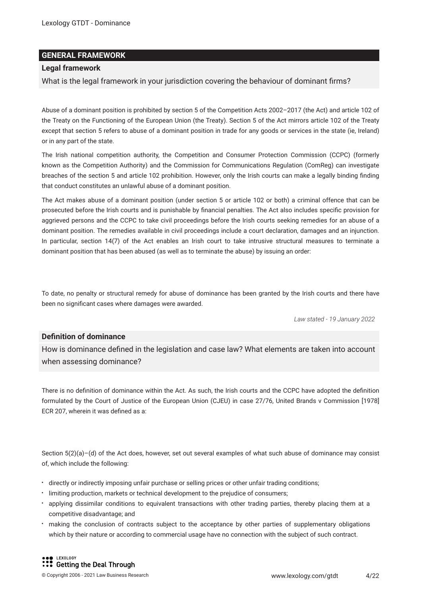#### **GENERAL FRAMEWORK**

#### **Legal framework**

What is the legal framework in your jurisdiction covering the behaviour of dominant frms?

Abuse of a dominant position is prohibited by section 5 of the Competition Acts 2002–2017 (the Act) and article 102 of the Treaty on the Functioning of the European Union (the Treaty). Section 5 of the Act mirrors article 102 of the Treaty except that section 5 refers to abuse of a dominant position in trade for any goods or services in the state (ie, Ireland) or in any part of the state.

The Irish national competition authority, the Competition and Consumer Protection Commission (CCPC) (formerly known as the Competition Authority) and the Commission for Communications Regulation (ComReg) can investigate breaches of the section 5 and article 102 prohibition. However, only the Irish courts can make a legally binding fnding that conduct constitutes an unlawful abuse of a dominant position.

The Act makes abuse of a dominant position (under section 5 or article 102 or both) a criminal offence that can be prosecuted before the Irish courts and is punishable by fnancial penalties. The Act also includes specifc provision for aggrieved persons and the CCPC to take civil proceedings before the Irish courts seeking remedies for an abuse of a dominant position. The remedies available in civil proceedings include a court declaration, damages and an injunction. In particular, section 14(7) of the Act enables an Irish court to take intrusive structural measures to terminate a dominant position that has been abused (as well as to terminate the abuse) by issuing an order:

To date, no penalty or structural remedy for abuse of dominance has been granted by the Irish courts and there have been no signifcant cases where damages were awarded.

*Law stated - 19 January 2022*

#### **Defnition of dominance**

How is dominance defned in the legislation and case law? What elements are taken into account when assessing dominance?

There is no defnition of dominance within the Act. As such, the Irish courts and the CCPC have adopted the defnition formulated by the Court of Justice of the European Union (CJEU) in case 27/76, United Brands v Commission [1978] ECR 207, wherein it was defned as a:

Section 5(2)(a)–(d) of the Act does, however, set out several examples of what such abuse of dominance may consist of, which include the following:

- directly or indirectly imposing unfair purchase or selling prices or other unfair trading conditions;
- limiting production, markets or technical development to the prejudice of consumers;
- applying dissimilar conditions to equivalent transactions with other trading parties, thereby placing them at a competitive disadvantage; and
- making the conclusion of contracts subject to the acceptance by other parties of supplementary obligations which by their nature or according to commercial usage have no connection with the subject of such contract.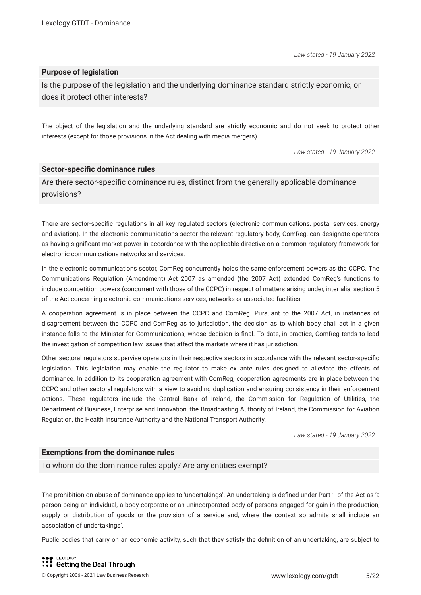#### **Purpose of legislation**

Is the purpose of the legislation and the underlying dominance standard strictly economic, or does it protect other interests?

The object of the legislation and the underlying standard are strictly economic and do not seek to protect other interests (except for those provisions in the Act dealing with media mergers).

*Law stated - 19 January 2022*

#### **Sector-specifc dominance rules**

Are there sector-specifc dominance rules, distinct from the generally applicable dominance provisions?

There are sector-specifc regulations in all key regulated sectors (electronic communications, postal services, energy and aviation). In the electronic communications sector the relevant regulatory body, ComReg, can designate operators as having signifcant market power in accordance with the applicable directive on a common regulatory framework for electronic communications networks and services.

In the electronic communications sector, ComReg concurrently holds the same enforcement powers as the CCPC. The Communications Regulation (Amendment) Act 2007 as amended (the 2007 Act) extended ComReg's functions to include competition powers (concurrent with those of the CCPC) in respect of matters arising under, inter alia, section 5 of the Act concerning electronic communications services, networks or associated facilities.

A cooperation agreement is in place between the CCPC and ComReg. Pursuant to the 2007 Act, in instances of disagreement between the CCPC and ComReg as to jurisdiction, the decision as to which body shall act in a given instance falls to the Minister for Communications, whose decision is fnal. To date, in practice, ComReg tends to lead the investigation of competition law issues that affect the markets where it has jurisdiction.

Other sectoral regulators supervise operators in their respective sectors in accordance with the relevant sector-specifc legislation. This legislation may enable the regulator to make ex ante rules designed to alleviate the effects of dominance. In addition to its cooperation agreement with ComReg, cooperation agreements are in place between the CCPC and other sectoral regulators with a view to avoiding duplication and ensuring consistency in their enforcement actions. These regulators include the Central Bank of Ireland, the Commission for Regulation of Utilities, the Department of Business, Enterprise and Innovation, the Broadcasting Authority of Ireland, the Commission for Aviation Regulation, the Health Insurance Authority and the National Transport Authority.

*Law stated - 19 January 2022*

#### **Exemptions from the dominance rules**

To whom do the dominance rules apply? Are any entities exempt?

The prohibition on abuse of dominance applies to 'undertakings'. An undertaking is defned under Part 1 of the Act as 'a person being an individual, a body corporate or an unincorporated body of persons engaged for gain in the production, supply or distribution of goods or the provision of a service and, where the context so admits shall include an association of undertakings'.

Public bodies that carry on an economic activity, such that they satisfy the defnition of an undertaking, are subject to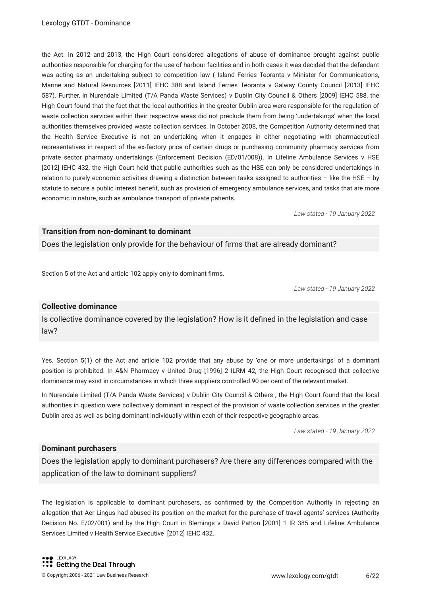the Act. In 2012 and 2013, the High Court considered allegations of abuse of dominance brought against public authorities responsible for charging for the use of harbour facilities and in both cases it was decided that the defendant was acting as an undertaking subject to competition law ( Island Ferries Teoranta v Minister for Communications, Marine and Natural Resources [2011] IEHC 388 and Island Ferries Teoranta v Galway County Council [2013] IEHC 587). Further, in Nurendale Limited (T/A Panda Waste Services) v Dublin City Council & Others [2009] IEHC 588, the High Court found that the fact that the local authorities in the greater Dublin area were responsible for the regulation of waste collection services within their respective areas did not preclude them from being 'undertakings' when the local authorities themselves provided waste collection services. In October 2008, the Competition Authority determined that the Health Service Executive is not an undertaking when it engages in either negotiating with pharmaceutical representatives in respect of the ex-factory price of certain drugs or purchasing community pharmacy services from private sector pharmacy undertakings (Enforcement Decision (ED/01/008)). In Lifeline Ambulance Services v HSE [2012] IEHC 432, the High Court held that public authorities such as the HSE can only be considered undertakings in relation to purely economic activities drawing a distinction between tasks assigned to authorities – like the HSE – by statute to secure a public interest beneft, such as provision of emergency ambulance services, and tasks that are more economic in nature, such as ambulance transport of private patients.

*Law stated - 19 January 2022*

#### **Transition from non-dominant to dominant**

Does the legislation only provide for the behaviour of frms that are already dominant?

Section 5 of the Act and article 102 apply only to dominant frms.

*Law stated - 19 January 2022*

#### **Collective dominance**

Is collective dominance covered by the legislation? How is it defned in the legislation and case law?

Yes. Section 5(1) of the Act and article 102 provide that any abuse by 'one or more undertakings' of a dominant position is prohibited. In A&N Pharmacy v United Drug [1996] 2 ILRM 42, the High Court recognised that collective dominance may exist in circumstances in which three suppliers controlled 90 per cent of the relevant market.

In Nurendale Limited (T/A Panda Waste Services) v Dublin City Council & Others , the High Court found that the local authorities in question were collectively dominant in respect of the provision of waste collection services in the greater Dublin area as well as being dominant individually within each of their respective geographic areas.

*Law stated - 19 January 2022*

#### **Dominant purchasers**

Does the legislation apply to dominant purchasers? Are there any differences compared with the application of the law to dominant suppliers?

The legislation is applicable to dominant purchasers, as confrmed by the Competition Authority in rejecting an allegation that Aer Lingus had abused its position on the market for the purchase of travel agents' services (Authority Decision No. E/02/001) and by the High Court in Blemings v David Patton [2001] 1 IR 385 and Lifeline Ambulance Services Limited v Health Service Executive [2012] IEHC 432.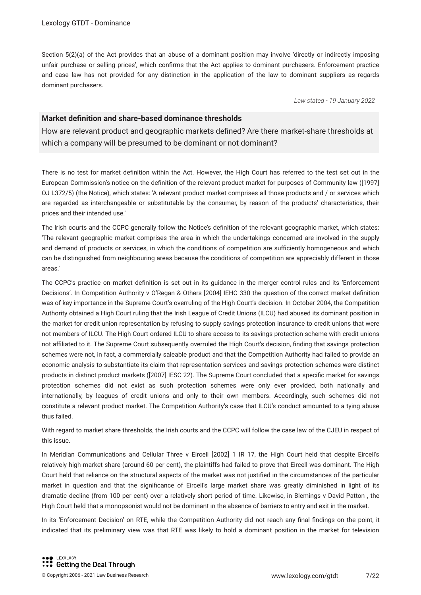Section 5(2)(a) of the Act provides that an abuse of a dominant position may involve 'directly or indirectly imposing unfair purchase or selling prices', which confrms that the Act applies to dominant purchasers. Enforcement practice and case law has not provided for any distinction in the application of the law to dominant suppliers as regards dominant purchasers.

*Law stated - 19 January 2022*

#### **Market defnition and share-based dominance thresholds**

How are relevant product and geographic markets defned? Are there market-share thresholds at which a company will be presumed to be dominant or not dominant?

There is no test for market defnition within the Act. However, the High Court has referred to the test set out in the European Commission's notice on the defnition of the relevant product market for purposes of Community law ([1997] OJ L372/5) (the Notice), which states: 'A relevant product market comprises all those products and / or services which are regarded as interchangeable or substitutable by the consumer, by reason of the products' characteristics, their prices and their intended use.'

The Irish courts and the CCPC generally follow the Notice's defnition of the relevant geographic market, which states: 'The relevant geographic market comprises the area in which the undertakings concerned are involved in the supply and demand of products or services, in which the conditions of competition are sufficiently homogeneous and which can be distinguished from neighbouring areas because the conditions of competition are appreciably different in those areas.'

The CCPC's practice on market defnition is set out in its guidance in the merger control rules and its 'Enforcement Decisions'. In Competition Authority v O'Regan & Others [2004] IEHC 330 the question of the correct market defnition was of key importance in the Supreme Court's overruling of the High Court's decision. In October 2004, the Competition Authority obtained a High Court ruling that the Irish League of Credit Unions (ILCU) had abused its dominant position in the market for credit union representation by refusing to supply savings protection insurance to credit unions that were not members of ILCU. The High Court ordered ILCU to share access to its savings protection scheme with credit unions not affiliated to it. The Supreme Court subsequently overruled the High Court's decision, finding that savings protection schemes were not, in fact, a commercially saleable product and that the Competition Authority had failed to provide an economic analysis to substantiate its claim that representation services and savings protection schemes were distinct products in distinct product markets ([2007] IESC 22). The Supreme Court concluded that a specifc market for savings protection schemes did not exist as such protection schemes were only ever provided, both nationally and internationally, by leagues of credit unions and only to their own members. Accordingly, such schemes did not constitute a relevant product market. The Competition Authority's case that ILCU's conduct amounted to a tying abuse thus failed.

With regard to market share thresholds, the Irish courts and the CCPC will follow the case law of the CJEU in respect of this issue.

In Meridian Communications and Cellular Three v Eircell [2002] 1 IR 17, the High Court held that despite Eircell's relatively high market share (around 60 per cent), the plaintiffs had failed to prove that Eircell was dominant. The High Court held that reliance on the structural aspects of the market was not justifed in the circumstances of the particular market in question and that the signifcance of Eircell's large market share was greatly diminished in light of its dramatic decline (from 100 per cent) over a relatively short period of time. Likewise, in Blemings v David Patton , the High Court held that a monopsonist would not be dominant in the absence of barriers to entry and exit in the market.

In its 'Enforcement Decision' on RTE, while the Competition Authority did not reach any fnal fndings on the point, it indicated that its preliminary view was that RTE was likely to hold a dominant position in the market for television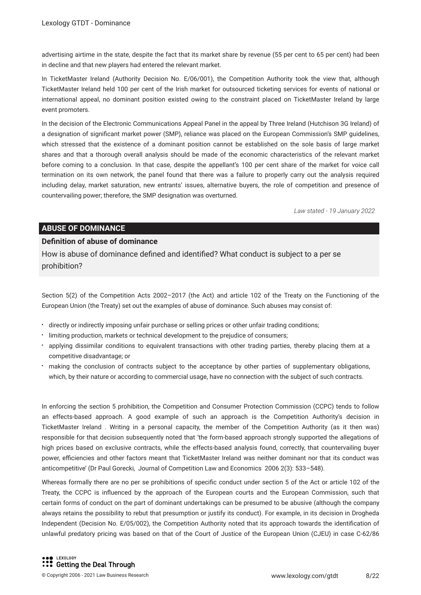advertising airtime in the state, despite the fact that its market share by revenue (55 per cent to 65 per cent) had been in decline and that new players had entered the relevant market.

In TicketMaster Ireland (Authority Decision No. E/06/001), the Competition Authority took the view that, although TicketMaster Ireland held 100 per cent of the Irish market for outsourced ticketing services for events of national or international appeal, no dominant position existed owing to the constraint placed on TicketMaster Ireland by large event promoters.

In the decision of the Electronic Communications Appeal Panel in the appeal by Three Ireland (Hutchison 3G Ireland) of a designation of signifcant market power (SMP), reliance was placed on the European Commission's SMP guidelines, which stressed that the existence of a dominant position cannot be established on the sole basis of large market shares and that a thorough overall analysis should be made of the economic characteristics of the relevant market before coming to a conclusion. In that case, despite the appellant's 100 per cent share of the market for voice call termination on its own network, the panel found that there was a failure to properly carry out the analysis required including delay, market saturation, new entrants' issues, alternative buyers, the role of competition and presence of countervailing power; therefore, the SMP designation was overturned.

*Law stated - 19 January 2022*

#### **ABUSE OF DOMINANCE**

#### **Defnition of abuse of dominance**

How is abuse of dominance defned and identifed? What conduct is subject to a per se prohibition?

Section 5(2) of the Competition Acts 2002–2017 (the Act) and article 102 of the Treaty on the Functioning of the European Union (the Treaty) set out the examples of abuse of dominance. Such abuses may consist of:

- directly or indirectly imposing unfair purchase or selling prices or other unfair trading conditions;
- limiting production, markets or technical development to the prejudice of consumers;
- applying dissimilar conditions to equivalent transactions with other trading parties, thereby placing them at a competitive disadvantage; or
- making the conclusion of contracts subject to the acceptance by other parties of supplementary obligations, which, by their nature or according to commercial usage, have no connection with the subject of such contracts.

In enforcing the section 5 prohibition, the Competition and Consumer Protection Commission (CCPC) tends to follow an effects-based approach. A good example of such an approach is the Competition Authority's decision in TicketMaster Ireland . Writing in a personal capacity, the member of the Competition Authority (as it then was) responsible for that decision subsequently noted that 'the form-based approach strongly supported the allegations of high prices based on exclusive contracts, while the effects-based analysis found, correctly, that countervailing buyer power, efficiencies and other factors meant that TicketMaster Ireland was neither dominant nor that its conduct was anticompetitive' (Dr Paul Gorecki, Journal of Competition Law and Economics 2006 2(3): 533–548).

Whereas formally there are no per se prohibitions of specifc conduct under section 5 of the Act or article 102 of the Treaty, the CCPC is infuenced by the approach of the European courts and the European Commission, such that certain forms of conduct on the part of dominant undertakings can be presumed to be abusive (although the company always retains the possibility to rebut that presumption or justify its conduct). For example, in its decision in Drogheda Independent (Decision No. E/05/002), the Competition Authority noted that its approach towards the identifcation of unlawful predatory pricing was based on that of the Court of Justice of the European Union (CJEU) in case C-62/86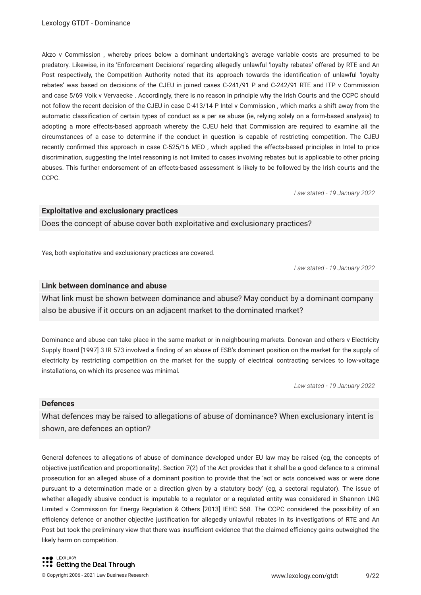Akzo v Commission , whereby prices below a dominant undertaking's average variable costs are presumed to be predatory. Likewise, in its 'Enforcement Decisions' regarding allegedly unlawful 'loyalty rebates' offered by RTE and An Post respectively, the Competition Authority noted that its approach towards the identifcation of unlawful 'loyalty rebates' was based on decisions of the CJEU in joined cases C-241/91 P and C-242/91 RTE and ITP v Commission and case 5/69 Volk v Vervaecke . Accordingly, there is no reason in principle why the Irish Courts and the CCPC should not follow the recent decision of the CJEU in case C-413/14 P Intel v Commission , which marks a shift away from the automatic classifcation of certain types of conduct as a per se abuse (ie, relying solely on a form-based analysis) to adopting a more effects-based approach whereby the CJEU held that Commission are required to examine all the circumstances of a case to determine if the conduct in question is capable of restricting competition. The CJEU recently confrmed this approach in case C-525/16 MEO , which applied the effects-based principles in Intel to price discrimination, suggesting the Intel reasoning is not limited to cases involving rebates but is applicable to other pricing abuses. This further endorsement of an effects-based assessment is likely to be followed by the Irish courts and the CCPC.

*Law stated - 19 January 2022*

#### **Exploitative and exclusionary practices**

Does the concept of abuse cover both exploitative and exclusionary practices?

Yes, both exploitative and exclusionary practices are covered.

*Law stated - 19 January 2022*

#### **Link between dominance and abuse**

What link must be shown between dominance and abuse? May conduct by a dominant company also be abusive if it occurs on an adjacent market to the dominated market?

Dominance and abuse can take place in the same market or in neighbouring markets. Donovan and others v Electricity Supply Board [1997] 3 IR 573 involved a fnding of an abuse of ESB's dominant position on the market for the supply of electricity by restricting competition on the market for the supply of electrical contracting services to low-voltage installations, on which its presence was minimal.

*Law stated - 19 January 2022*

#### **Defences**

What defences may be raised to allegations of abuse of dominance? When exclusionary intent is shown, are defences an option?

General defences to allegations of abuse of dominance developed under EU law may be raised (eg, the concepts of objective justifcation and proportionality). Section 7(2) of the Act provides that it shall be a good defence to a criminal prosecution for an alleged abuse of a dominant position to provide that the 'act or acts conceived was or were done pursuant to a determination made or a direction given by a statutory body' (eg, a sectoral regulator). The issue of whether allegedly abusive conduct is imputable to a regulator or a regulated entity was considered in Shannon LNG Limited v Commission for Energy Regulation & Others [2013] IEHC 568. The CCPC considered the possibility of an efficiency defence or another objective justification for allegedly unlawful rebates in its investigations of RTE and An Post but took the preliminary view that there was insufficient evidence that the claimed efficiency gains outweighed the likely harm on competition.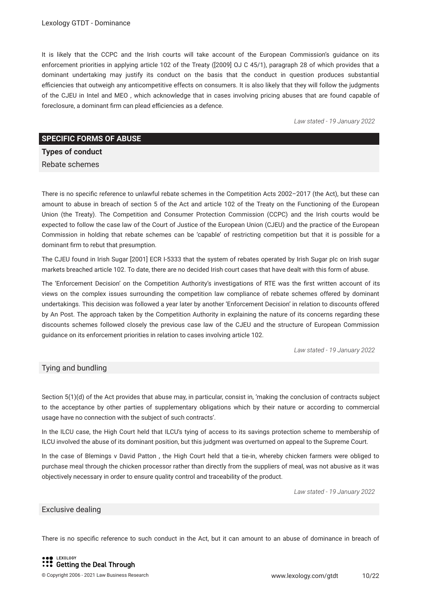It is likely that the CCPC and the Irish courts will take account of the European Commission's guidance on its enforcement priorities in applying article 102 of the Treaty ([2009] OJ C 45/1), paragraph 28 of which provides that a dominant undertaking may justify its conduct on the basis that the conduct in question produces substantial efficiencies that outweigh any anticompetitive effects on consumers. It is also likely that they will follow the judgments of the CJEU in Intel and MEO , which acknowledge that in cases involving pricing abuses that are found capable of foreclosure, a dominant firm can plead efficiencies as a defence.

*Law stated - 19 January 2022*

#### **SPECIFIC FORMS OF ABUSE**

**Types of conduct**

Rebate schemes

There is no specifc reference to unlawful rebate schemes in the Competition Acts 2002–2017 (the Act), but these can amount to abuse in breach of section 5 of the Act and article 102 of the Treaty on the Functioning of the European Union (the Treaty). The Competition and Consumer Protection Commission (CCPC) and the Irish courts would be expected to follow the case law of the Court of Justice of the European Union (CJEU) and the practice of the European Commission in holding that rebate schemes can be 'capable' of restricting competition but that it is possible for a dominant frm to rebut that presumption.

The CJEU found in Irish Sugar [2001] ECR I-5333 that the system of rebates operated by Irish Sugar plc on Irish sugar markets breached article 102. To date, there are no decided Irish court cases that have dealt with this form of abuse.

The 'Enforcement Decision' on the Competition Authority's investigations of RTE was the frst written account of its views on the complex issues surrounding the competition law compliance of rebate schemes offered by dominant undertakings. This decision was followed a year later by another 'Enforcement Decision' in relation to discounts offered by An Post. The approach taken by the Competition Authority in explaining the nature of its concerns regarding these discounts schemes followed closely the previous case law of the CJEU and the structure of European Commission guidance on its enforcement priorities in relation to cases involving article 102.

*Law stated - 19 January 2022*

#### Tying and bundling

Section 5(1)(d) of the Act provides that abuse may, in particular, consist in, 'making the conclusion of contracts subject to the acceptance by other parties of supplementary obligations which by their nature or according to commercial usage have no connection with the subject of such contracts'.

In the ILCU case, the High Court held that ILCU's tying of access to its savings protection scheme to membership of ILCU involved the abuse of its dominant position, but this judgment was overturned on appeal to the Supreme Court.

In the case of Blemings v David Patton , the High Court held that a tie-in, whereby chicken farmers were obliged to purchase meal through the chicken processor rather than directly from the suppliers of meal, was not abusive as it was objectively necessary in order to ensure quality control and traceability of the product.

*Law stated - 19 January 2022*

#### Exclusive dealing

There is no specifc reference to such conduct in the Act, but it can amount to an abuse of dominance in breach of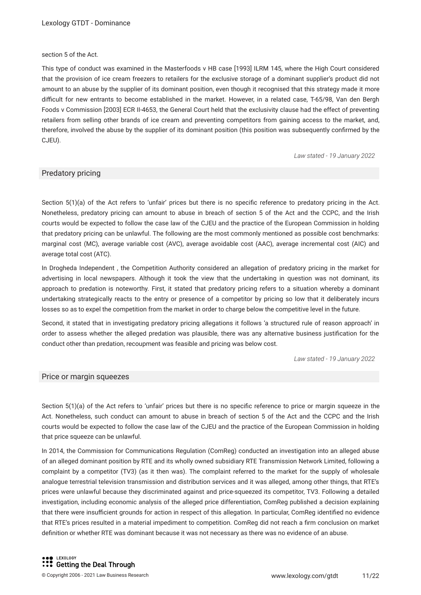#### section 5 of the Act.

This type of conduct was examined in the Masterfoods v HB case [1993] ILRM 145, where the High Court considered that the provision of ice cream freezers to retailers for the exclusive storage of a dominant supplier's product did not amount to an abuse by the supplier of its dominant position, even though it recognised that this strategy made it more difficult for new entrants to become established in the market. However, in a related case, T-65/98, Van den Bergh Foods v Commission [2003] ECR II-4653, the General Court held that the exclusivity clause had the effect of preventing retailers from selling other brands of ice cream and preventing competitors from gaining access to the market, and, therefore, involved the abuse by the supplier of its dominant position (this position was subsequently confrmed by the CJEU).

*Law stated - 19 January 2022*

#### Predatory pricing

Section 5(1)(a) of the Act refers to 'unfair' prices but there is no specific reference to predatory pricing in the Act. Nonetheless, predatory pricing can amount to abuse in breach of section 5 of the Act and the CCPC, and the Irish courts would be expected to follow the case law of the CJEU and the practice of the European Commission in holding that predatory pricing can be unlawful. The following are the most commonly mentioned as possible cost benchmarks: marginal cost (MC), average variable cost (AVC), average avoidable cost (AAC), average incremental cost (AIC) and average total cost (ATC).

In Drogheda Independent , the Competition Authority considered an allegation of predatory pricing in the market for advertising in local newspapers. Although it took the view that the undertaking in question was not dominant, its approach to predation is noteworthy. First, it stated that predatory pricing refers to a situation whereby a dominant undertaking strategically reacts to the entry or presence of a competitor by pricing so low that it deliberately incurs losses so as to expel the competition from the market in order to charge below the competitive level in the future.

Second, it stated that in investigating predatory pricing allegations it follows 'a structured rule of reason approach' in order to assess whether the alleged predation was plausible, there was any alternative business justifcation for the conduct other than predation, recoupment was feasible and pricing was below cost.

*Law stated - 19 January 2022*

#### Price or margin squeezes

Section 5(1)(a) of the Act refers to 'unfair' prices but there is no specific reference to price or margin squeeze in the Act. Nonetheless, such conduct can amount to abuse in breach of section 5 of the Act and the CCPC and the Irish courts would be expected to follow the case law of the CJEU and the practice of the European Commission in holding that price squeeze can be unlawful.

In 2014, the Commission for Communications Regulation (ComReg) conducted an investigation into an alleged abuse of an alleged dominant position by RTE and its wholly owned subsidiary RTE Transmission Network Limited, following a complaint by a competitor (TV3) (as it then was). The complaint referred to the market for the supply of wholesale analogue terrestrial television transmission and distribution services and it was alleged, among other things, that RTE's prices were unlawful because they discriminated against and price-squeezed its competitor, TV3. Following a detailed investigation, including economic analysis of the alleged price differentiation, ComReg published a decision explaining that there were insufficient grounds for action in respect of this allegation. In particular, ComReg identified no evidence that RTE's prices resulted in a material impediment to competition. ComReg did not reach a frm conclusion on market defnition or whether RTE was dominant because it was not necessary as there was no evidence of an abuse.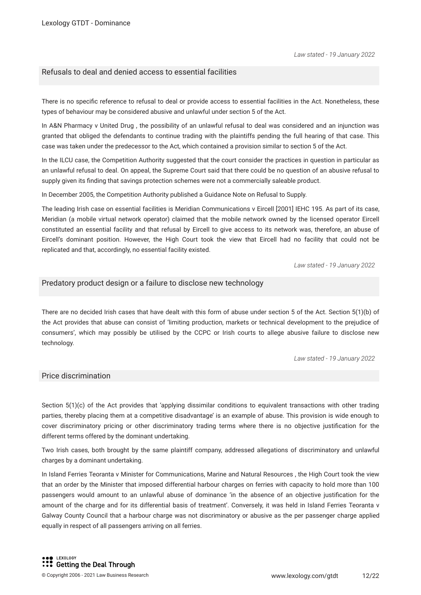#### Refusals to deal and denied access to essential facilities

There is no specifc reference to refusal to deal or provide access to essential facilities in the Act. Nonetheless, these types of behaviour may be considered abusive and unlawful under section 5 of the Act.

In A&N Pharmacy v United Drug , the possibility of an unlawful refusal to deal was considered and an injunction was granted that obliged the defendants to continue trading with the plaintiffs pending the full hearing of that case. This case was taken under the predecessor to the Act, which contained a provision similar to section 5 of the Act.

In the ILCU case, the Competition Authority suggested that the court consider the practices in question in particular as an unlawful refusal to deal. On appeal, the Supreme Court said that there could be no question of an abusive refusal to supply given its fnding that savings protection schemes were not a commercially saleable product.

In December 2005, the Competition Authority published a Guidance Note on Refusal to Supply.

The leading Irish case on essential facilities is Meridian Communications v Eircell [2001] IEHC 195. As part of its case, Meridian (a mobile virtual network operator) claimed that the mobile network owned by the licensed operator Eircell constituted an essential facility and that refusal by Eircell to give access to its network was, therefore, an abuse of Eircell's dominant position. However, the High Court took the view that Eircell had no facility that could not be replicated and that, accordingly, no essential facility existed.

*Law stated - 19 January 2022*

#### Predatory product design or a failure to disclose new technology

There are no decided Irish cases that have dealt with this form of abuse under section 5 of the Act. Section 5(1)(b) of the Act provides that abuse can consist of 'limiting production, markets or technical development to the prejudice of consumers', which may possibly be utilised by the CCPC or Irish courts to allege abusive failure to disclose new technology.

*Law stated - 19 January 2022*

#### Price discrimination

Section 5(1)(c) of the Act provides that 'applying dissimilar conditions to equivalent transactions with other trading parties, thereby placing them at a competitive disadvantage' is an example of abuse. This provision is wide enough to cover discriminatory pricing or other discriminatory trading terms where there is no objective justifcation for the different terms offered by the dominant undertaking.

Two Irish cases, both brought by the same plaintiff company, addressed allegations of discriminatory and unlawful charges by a dominant undertaking.

In Island Ferries Teoranta v Minister for Communications, Marine and Natural Resources , the High Court took the view that an order by the Minister that imposed differential harbour charges on ferries with capacity to hold more than 100 passengers would amount to an unlawful abuse of dominance 'in the absence of an objective justifcation for the amount of the charge and for its differential basis of treatment'. Conversely, it was held in Island Ferries Teoranta v Galway County Council that a harbour charge was not discriminatory or abusive as the per passenger charge applied equally in respect of all passengers arriving on all ferries.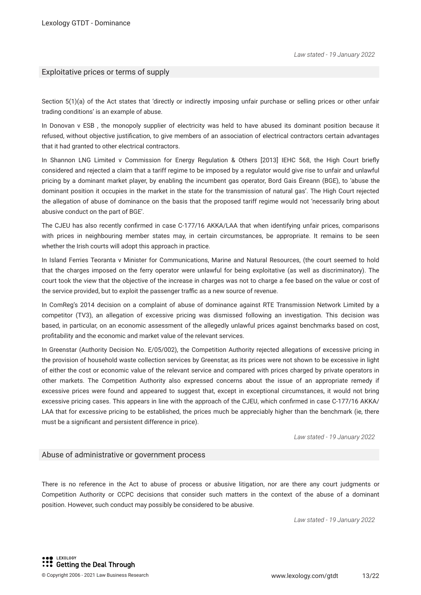#### Exploitative prices or terms of supply

Section 5(1)(a) of the Act states that 'directly or indirectly imposing unfair purchase or selling prices or other unfair trading conditions' is an example of abuse.

In Donovan v ESB , the monopoly supplier of electricity was held to have abused its dominant position because it refused, without objective justifcation, to give members of an association of electrical contractors certain advantages that it had granted to other electrical contractors.

In Shannon LNG Limited v Commission for Energy Regulation & Others [2013] IEHC 568, the High Court briefly considered and rejected a claim that a tariff regime to be imposed by a regulator would give rise to unfair and unlawful pricing by a dominant market player, by enabling the incumbent gas operator, Bord Gais Éireann (BGE), to 'abuse the dominant position it occupies in the market in the state for the transmission of natural gas'. The High Court rejected the allegation of abuse of dominance on the basis that the proposed tariff regime would not 'necessarily bring about abusive conduct on the part of BGE'.

The CJEU has also recently confrmed in case C-177/16 AKKA/LAA that when identifying unfair prices, comparisons with prices in neighbouring member states may, in certain circumstances, be appropriate. It remains to be seen whether the Irish courts will adopt this approach in practice.

In Island Ferries Teoranta v Minister for Communications, Marine and Natural Resources, (the court seemed to hold that the charges imposed on the ferry operator were unlawful for being exploitative (as well as discriminatory). The court took the view that the objective of the increase in charges was not to charge a fee based on the value or cost of the service provided, but to exploit the passenger traffic as a new source of revenue.

In ComReg's 2014 decision on a complaint of abuse of dominance against RTE Transmission Network Limited by a competitor (TV3), an allegation of excessive pricing was dismissed following an investigation. This decision was based, in particular, on an economic assessment of the allegedly unlawful prices against benchmarks based on cost, proftability and the economic and market value of the relevant services.

In Greenstar (Authority Decision No. E/05/002), the Competition Authority rejected allegations of excessive pricing in the provision of household waste collection services by Greenstar, as its prices were not shown to be excessive in light of either the cost or economic value of the relevant service and compared with prices charged by private operators in other markets. The Competition Authority also expressed concerns about the issue of an appropriate remedy if excessive prices were found and appeared to suggest that, except in exceptional circumstances, it would not bring excessive pricing cases. This appears in line with the approach of the CJEU, which confrmed in case C-177/16 AKKA/ LAA that for excessive pricing to be established, the prices much be appreciably higher than the benchmark (ie, there must be a signifcant and persistent difference in price).

*Law stated - 19 January 2022*

#### Abuse of administrative or government process

There is no reference in the Act to abuse of process or abusive litigation, nor are there any court judgments or Competition Authority or CCPC decisions that consider such matters in the context of the abuse of a dominant position. However, such conduct may possibly be considered to be abusive.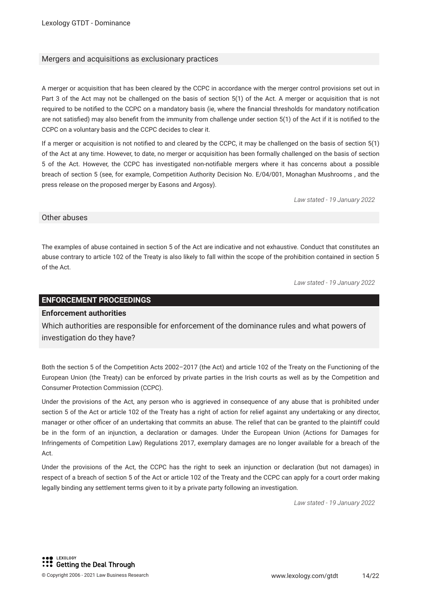#### Mergers and acquisitions as exclusionary practices

A merger or acquisition that has been cleared by the CCPC in accordance with the merger control provisions set out in Part 3 of the Act may not be challenged on the basis of section 5(1) of the Act. A merger or acquisition that is not required to be notifed to the CCPC on a mandatory basis (ie, where the fnancial thresholds for mandatory notifcation are not satisfed) may also beneft from the immunity from challenge under section 5(1) of the Act if it is notifed to the CCPC on a voluntary basis and the CCPC decides to clear it.

If a merger or acquisition is not notifed to and cleared by the CCPC, it may be challenged on the basis of section 5(1) of the Act at any time. However, to date, no merger or acquisition has been formally challenged on the basis of section 5 of the Act. However, the CCPC has investigated non-notifable mergers where it has concerns about a possible breach of section 5 (see, for example, Competition Authority Decision No. E/04/001, Monaghan Mushrooms , and the press release on the proposed merger by Easons and Argosy).

*Law stated - 19 January 2022*

#### Other abuses

The examples of abuse contained in section 5 of the Act are indicative and not exhaustive. Conduct that constitutes an abuse contrary to article 102 of the Treaty is also likely to fall within the scope of the prohibition contained in section 5 of the Act.

*Law stated - 19 January 2022*

#### **ENFORCEMENT PROCEEDINGS**

#### **Enforcement authorities**

Which authorities are responsible for enforcement of the dominance rules and what powers of investigation do they have?

Both the section 5 of the Competition Acts 2002–2017 (the Act) and article 102 of the Treaty on the Functioning of the European Union (the Treaty) can be enforced by private parties in the Irish courts as well as by the Competition and Consumer Protection Commission (CCPC).

Under the provisions of the Act, any person who is aggrieved in consequence of any abuse that is prohibited under section 5 of the Act or article 102 of the Treaty has a right of action for relief against any undertaking or any director, manager or other officer of an undertaking that commits an abuse. The relief that can be granted to the plaintiff could be in the form of an injunction, a declaration or damages. Under the European Union (Actions for Damages for Infringements of Competition Law) Regulations 2017, exemplary damages are no longer available for a breach of the Act.

Under the provisions of the Act, the CCPC has the right to seek an injunction or declaration (but not damages) in respect of a breach of section 5 of the Act or article 102 of the Treaty and the CCPC can apply for a court order making legally binding any settlement terms given to it by a private party following an investigation.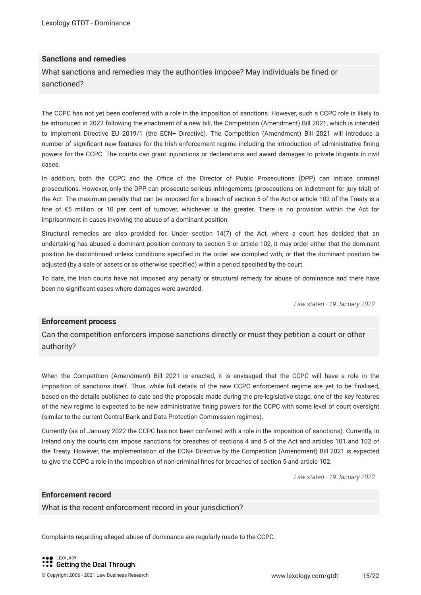#### **Sanctions and remedies**

What sanctions and remedies may the authorities impose? May individuals be fned or sanctioned?

The CCPC has not yet been conferred with a role in the imposition of sanctions. However, such a CCPC role is likely to be introduced in 2022 following the enactment of a new bill, the Competition (Amendment) Bill 2021, which is intended to implement Directive EU 2019/1 (the ECN+ Directive). The Competition (Amendment) Bill 2021 will introduce a number of signifcant new features for the Irish enforcement regime including the introduction of administrative fning powers for the CCPC. The courts can grant injunctions or declarations and award damages to private litigants in civil cases.

In addition, both the CCPC and the Office of the Director of Public Prosecutions (DPP) can initiate criminal prosecutions. However, only the DPP can prosecute serious infringements (prosecutions on indictment for jury trial) of the Act. The maximum penalty that can be imposed for a breach of section 5 of the Act or article 102 of the Treaty is a fne of €5 million or 10 per cent of turnover, whichever is the greater. There is no provision within the Act for imprisonment in cases involving the abuse of a dominant position.

Structural remedies are also provided for. Under section 14(7) of the Act, where a court has decided that an undertaking has abused a dominant position contrary to section 5 or article 102, it may order either that the dominant position be discontinued unless conditions specifed in the order are complied with, or that the dominant position be adjusted (by a sale of assets or as otherwise specifed) within a period specifed by the court.

To date, the Irish courts have not imposed any penalty or structural remedy for abuse of dominance and there have been no signifcant cases where damages were awarded.

*Law stated - 19 January 2022*

#### **Enforcement process**

Can the competition enforcers impose sanctions directly or must they petition a court or other authority?

When the Competition (Amendment) Bill 2021 is enacted, it is envisaged that the CCPC will have a role in the imposition of sanctions itself. Thus, while full details of the new CCPC enforcement regime are yet to be fnalised, based on the details published to date and the proposals made during the pre-legislative stage, one of the key features of the new regime is expected to be new administrative fning powers for the CCPC with some level of court oversight (similar to the current Central Bank and Data Protection Commission regimes).

Currently (as of January 2022 the CCPC has not been conferred with a role in the imposition of sanctions). Currently, in Ireland only the courts can impose sanctions for breaches of sections 4 and 5 of the Act and articles 101 and 102 of the Treaty. However, the implementation of the ECN+ Directive by the Competition (Amendment) Bill 2021 is expected to give the CCPC a role in the imposition of non-criminal fnes for breaches of section 5 and article 102.

*Law stated - 19 January 2022*

#### **Enforcement record**

What is the recent enforcement record in your jurisdiction?

Complaints regarding alleged abuse of dominance are regularly made to the CCPC.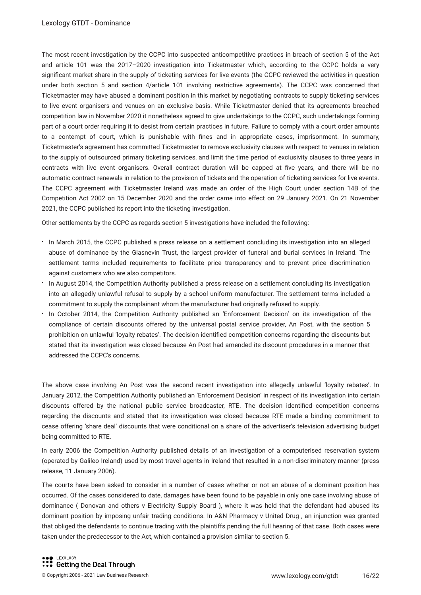The most recent investigation by the CCPC into suspected anticompetitive practices in breach of section 5 of the Act and article 101 was the 2017–2020 investigation into Ticketmaster which, according to the CCPC holds a very signifcant market share in the supply of ticketing services for live events (the CCPC reviewed the activities in question under both section 5 and section 4/article 101 involving restrictive agreements). The CCPC was concerned that Ticketmaster may have abused a dominant position in this market by negotiating contracts to supply ticketing services to live event organisers and venues on an exclusive basis. While Ticketmaster denied that its agreements breached competition law in November 2020 it nonetheless agreed to give undertakings to the CCPC, such undertakings forming part of a court order requiring it to desist from certain practices in future. Failure to comply with a court order amounts to a contempt of court, which is punishable with fnes and in appropriate cases, imprisonment. In summary, Ticketmaster's agreement has committed Ticketmaster to remove exclusivity clauses with respect to venues in relation to the supply of outsourced primary ticketing services, and limit the time period of exclusivity clauses to three years in contracts with live event organisers. Overall contract duration will be capped at fve years, and there will be no automatic contract renewals in relation to the provision of tickets and the operation of ticketing services for live events. The CCPC agreement with Ticketmaster Ireland was made an order of the High Court under section 14B of the Competition Act 2002 on 15 December 2020 and the order came into effect on 29 January 2021. On 21 November 2021, the CCPC published its report into the ticketing investigation.

Other settlements by the CCPC as regards section 5 investigations have included the following:

- In March 2015, the CCPC published a press release on a settlement concluding its investigation into an alleged abuse of dominance by the Glasnevin Trust, the largest provider of funeral and burial services in Ireland. The settlement terms included requirements to facilitate price transparency and to prevent price discrimination against customers who are also competitors.
- In August 2014, the Competition Authority published a press release on a settlement concluding its investigation into an allegedly unlawful refusal to supply by a school uniform manufacturer. The settlement terms included a commitment to supply the complainant whom the manufacturer had originally refused to supply.
- In October 2014, the Competition Authority published an 'Enforcement Decision' on its investigation of the compliance of certain discounts offered by the universal postal service provider, An Post, with the section 5 prohibition on unlawful 'loyalty rebates'. The decision identifed competition concerns regarding the discounts but stated that its investigation was closed because An Post had amended its discount procedures in a manner that addressed the CCPC's concerns.

The above case involving An Post was the second recent investigation into allegedly unlawful 'loyalty rebates'. In January 2012, the Competition Authority published an 'Enforcement Decision' in respect of its investigation into certain discounts offered by the national public service broadcaster, RTE. The decision identifed competition concerns regarding the discounts and stated that its investigation was closed because RTE made a binding commitment to cease offering 'share deal' discounts that were conditional on a share of the advertiser's television advertising budget being committed to RTE.

In early 2006 the Competition Authority published details of an investigation of a computerised reservation system (operated by Galileo Ireland) used by most travel agents in Ireland that resulted in a non-discriminatory manner (press release, 11 January 2006).

The courts have been asked to consider in a number of cases whether or not an abuse of a dominant position has occurred. Of the cases considered to date, damages have been found to be payable in only one case involving abuse of dominance ( Donovan and others v Electricity Supply Board ), where it was held that the defendant had abused its dominant position by imposing unfair trading conditions. In A&N Pharmacy v United Drug , an injunction was granted that obliged the defendants to continue trading with the plaintiffs pending the full hearing of that case. Both cases were taken under the predecessor to the Act, which contained a provision similar to section 5.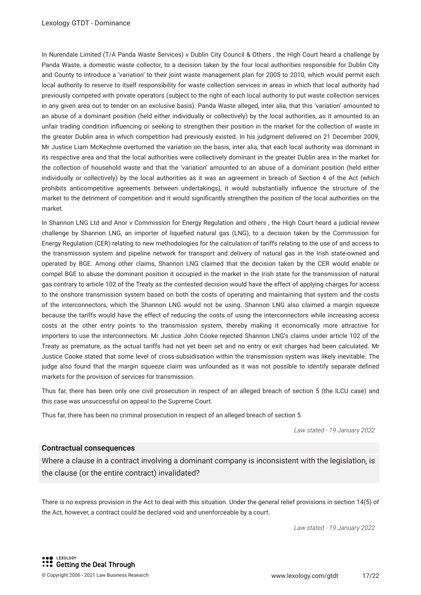In Nurendale Limited (T/A Panda Waste Services) v Dublin City Council & Others , the High Court heard a challenge by Panda Waste, a domestic waste collector, to a decision taken by the four local authorities responsible for Dublin City and County to introduce a 'variation' to their joint waste management plan for 2005 to 2010, which would permit each local authority to reserve to itself responsibility for waste collection services in areas in which that local authority had previously competed with private operators (subject to the right of each local authority to put waste collection services in any given area out to tender on an exclusive basis). Panda Waste alleged, inter alia, that this 'variation' amounted to an abuse of a dominant position (held either individually or collectively) by the local authorities, as it amounted to an unfair trading condition infuencing or seeking to strengthen their position in the market for the collection of waste in the greater Dublin area in which competition had previously existed. In his judgment delivered on 21 December 2009, Mr Justice Liam McKechnie overturned the variation on the basis, inter alia, that each local authority was dominant in its respective area and that the local authorities were collectively dominant in the greater Dublin area in the market for the collection of household waste and that the 'variation' amounted to an abuse of a dominant position (held either individually or collectively) by the local authorities as it was an agreement in breach of Section 4 of the Act (which prohibits anticompetitive agreements between undertakings), it would substantially infuence the structure of the market to the detriment of competition and it would signifcantly strengthen the position of the local authorities on the market.

In Shannon LNG Ltd and Anor v Commission for Energy Regulation and others , the High Court heard a judicial review challenge by Shannon LNG, an importer of liquefed natural gas (LNG), to a decision taken by the Commission for Energy Regulation (CER) relating to new methodologies for the calculation of tariffs relating to the use of and access to the transmission system and pipeline network for transport and delivery of natural gas in the Irish state-owned and operated by BGE. Among other claims, Shannon LNG claimed that the decision taken by the CER would enable or compel BGE to abuse the dominant position it occupied in the market in the Irish state for the transmission of natural gas contrary to article 102 of the Treaty as the contested decision would have the effect of applying charges for access to the onshore transmission system based on both the costs of operating and maintaining that system and the costs of the interconnectors, which the Shannon LNG would not be using. Shannon LNG also claimed a margin squeeze because the tariffs would have the effect of reducing the costs of using the interconnectors while increasing access costs at the other entry points to the transmission system, thereby making it economically more attractive for importers to use the interconnectors. Mr Justice John Cooke rejected Shannon LNG's claims under article 102 of the Treaty as premature, as the actual tariffs had not yet been set and no entry or exit charges had been calculated. Mr Justice Cooke stated that some level of cross-subsidisation within the transmission system was likely inevitable. The judge also found that the margin squeeze claim was unfounded as it was not possible to identify separate defned markets for the provision of services for transmission.

Thus far, there has been only one civil prosecution in respect of an alleged breach of section 5 (the ILCU case) and this case was unsuccessful on appeal to the Supreme Court.

Thus far, there has been no criminal prosecution in respect of an alleged breach of section 5.

*Law stated - 19 January 2022*

#### **Contractual consequences**

Where a clause in a contract involving a dominant company is inconsistent with the legislation, is the clause (or the entire contract) invalidated?

There is no express provision in the Act to deal with this situation. Under the general relief provisions in section 14(5) of the Act, however, a contract could be declared void and unenforceable by a court.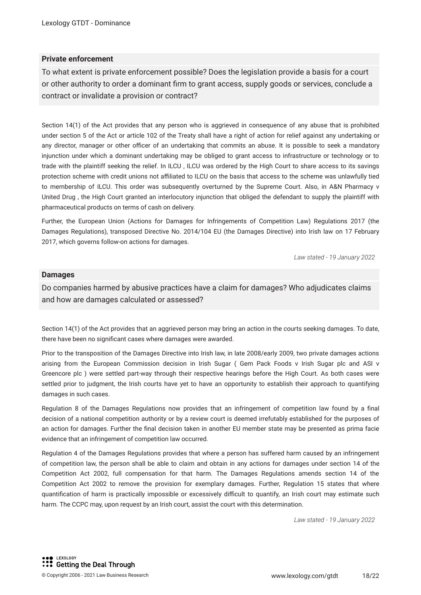#### **Private enforcement**

To what extent is private enforcement possible? Does the legislation provide a basis for a court or other authority to order a dominant frm to grant access, supply goods or services, conclude a contract or invalidate a provision or contract?

Section 14(1) of the Act provides that any person who is aggrieved in consequence of any abuse that is prohibited under section 5 of the Act or article 102 of the Treaty shall have a right of action for relief against any undertaking or any director, manager or other officer of an undertaking that commits an abuse. It is possible to seek a mandatory injunction under which a dominant undertaking may be obliged to grant access to infrastructure or technology or to trade with the plaintiff seeking the relief. In ILCU , ILCU was ordered by the High Court to share access to its savings protection scheme with credit unions not afliated to ILCU on the basis that access to the scheme was unlawfully tied to membership of ILCU. This order was subsequently overturned by the Supreme Court. Also, in A&N Pharmacy v United Drug , the High Court granted an interlocutory injunction that obliged the defendant to supply the plaintiff with pharmaceutical products on terms of cash on delivery.

Further, the European Union (Actions for Damages for Infringements of Competition Law) Regulations 2017 (the Damages Regulations), transposed Directive No. 2014/104 EU (the Damages Directive) into Irish law on 17 February 2017, which governs follow-on actions for damages.

*Law stated - 19 January 2022*

#### **Damages**

Do companies harmed by abusive practices have a claim for damages? Who adjudicates claims and how are damages calculated or assessed?

Section 14(1) of the Act provides that an aggrieved person may bring an action in the courts seeking damages. To date, there have been no signifcant cases where damages were awarded.

Prior to the transposition of the Damages Directive into Irish law, in late 2008/early 2009, two private damages actions arising from the European Commission decision in Irish Sugar ( Gem Pack Foods v Irish Sugar plc and ASI v Greencore plc ) were settled part-way through their respective hearings before the High Court. As both cases were settled prior to judgment, the Irish courts have yet to have an opportunity to establish their approach to quantifying damages in such cases.

Regulation 8 of the Damages Regulations now provides that an infringement of competition law found by a fnal decision of a national competition authority or by a review court is deemed irrefutably established for the purposes of an action for damages. Further the fnal decision taken in another EU member state may be presented as prima facie evidence that an infringement of competition law occurred.

Regulation 4 of the Damages Regulations provides that where a person has suffered harm caused by an infringement of competition law, the person shall be able to claim and obtain in any actions for damages under section 14 of the Competition Act 2002, full compensation for that harm. The Damages Regulations amends section 14 of the Competition Act 2002 to remove the provision for exemplary damages. Further, Regulation 15 states that where quantification of harm is practically impossible or excessively difficult to quantify, an Irish court may estimate such harm. The CCPC may, upon request by an Irish court, assist the court with this determination.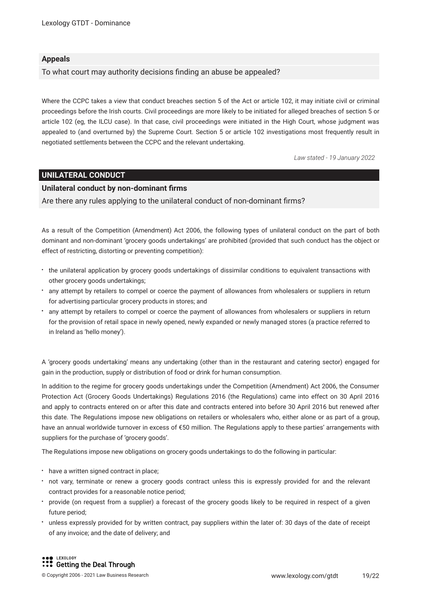#### **Appeals**

To what court may authority decisions fnding an abuse be appealed?

Where the CCPC takes a view that conduct breaches section 5 of the Act or article 102, it may initiate civil or criminal proceedings before the Irish courts. Civil proceedings are more likely to be initiated for alleged breaches of section 5 or article 102 (eg, the ILCU case). In that case, civil proceedings were initiated in the High Court, whose judgment was appealed to (and overturned by) the Supreme Court. Section 5 or article 102 investigations most frequently result in negotiated settlements between the CCPC and the relevant undertaking.

*Law stated - 19 January 2022*

#### **UNILATERAL CONDUCT**

#### **Unilateral conduct by non-dominant frms**

Are there any rules applying to the unilateral conduct of non-dominant frms?

As a result of the Competition (Amendment) Act 2006, the following types of unilateral conduct on the part of both dominant and non-dominant 'grocery goods undertakings' are prohibited (provided that such conduct has the object or effect of restricting, distorting or preventing competition):

- the unilateral application by grocery goods undertakings of dissimilar conditions to equivalent transactions with other grocery goods undertakings;
- any attempt by retailers to compel or coerce the payment of allowances from wholesalers or suppliers in return for advertising particular grocery products in stores; and
- any attempt by retailers to compel or coerce the payment of allowances from wholesalers or suppliers in return for the provision of retail space in newly opened, newly expanded or newly managed stores (a practice referred to in Ireland as 'hello money').

A 'grocery goods undertaking' means any undertaking (other than in the restaurant and catering sector) engaged for gain in the production, supply or distribution of food or drink for human consumption.

In addition to the regime for grocery goods undertakings under the Competition (Amendment) Act 2006, the Consumer Protection Act (Grocery Goods Undertakings) Regulations 2016 (the Regulations) came into effect on 30 April 2016 and apply to contracts entered on or after this date and contracts entered into before 30 April 2016 but renewed after this date. The Regulations impose new obligations on retailers or wholesalers who, either alone or as part of a group, have an annual worldwide turnover in excess of €50 million. The Regulations apply to these parties' arrangements with suppliers for the purchase of 'grocery goods'.

The Regulations impose new obligations on grocery goods undertakings to do the following in particular:

- have a written signed contract in place;
- not vary, terminate or renew a grocery goods contract unless this is expressly provided for and the relevant contract provides for a reasonable notice period;
- provide (on request from a supplier) a forecast of the grocery goods likely to be required in respect of a given future period;
- unless expressly provided for by written contract, pay suppliers within the later of: 30 days of the date of receipt of any invoice; and the date of delivery; and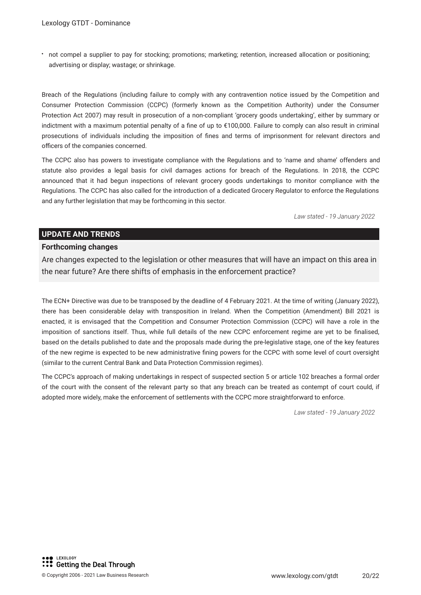not compel a supplier to pay for stocking; promotions; marketing; retention, increased allocation or positioning; advertising or display; wastage; or shrinkage.

Breach of the Regulations (including failure to comply with any contravention notice issued by the Competition and Consumer Protection Commission (CCPC) (formerly known as the Competition Authority) under the Consumer Protection Act 2007) may result in prosecution of a non-compliant 'grocery goods undertaking', either by summary or indictment with a maximum potential penalty of a fne of up to €100,000. Failure to comply can also result in criminal prosecutions of individuals including the imposition of fnes and terms of imprisonment for relevant directors and officers of the companies concerned.

The CCPC also has powers to investigate compliance with the Regulations and to 'name and shame' offenders and statute also provides a legal basis for civil damages actions for breach of the Regulations. In 2018, the CCPC announced that it had begun inspections of relevant grocery goods undertakings to monitor compliance with the Regulations. The CCPC has also called for the introduction of a dedicated Grocery Regulator to enforce the Regulations and any further legislation that may be forthcoming in this sector.

*Law stated - 19 January 2022*

#### **UPDATE AND TRENDS**

#### **Forthcoming changes**

Are changes expected to the legislation or other measures that will have an impact on this area in the near future? Are there shifts of emphasis in the enforcement practice?

The ECN+ Directive was due to be transposed by the deadline of 4 February 2021. At the time of writing (January 2022), there has been considerable delay with transposition in Ireland. When the Competition (Amendment) Bill 2021 is enacted, it is envisaged that the Competition and Consumer Protection Commission (CCPC) will have a role in the imposition of sanctions itself. Thus, while full details of the new CCPC enforcement regime are yet to be fnalised, based on the details published to date and the proposals made during the pre-legislative stage, one of the key features of the new regime is expected to be new administrative fning powers for the CCPC with some level of court oversight (similar to the current Central Bank and Data Protection Commission regimes).

The CCPC's approach of making undertakings in respect of suspected section 5 or article 102 breaches a formal order of the court with the consent of the relevant party so that any breach can be treated as contempt of court could, if adopted more widely, make the enforcement of settlements with the CCPC more straightforward to enforce.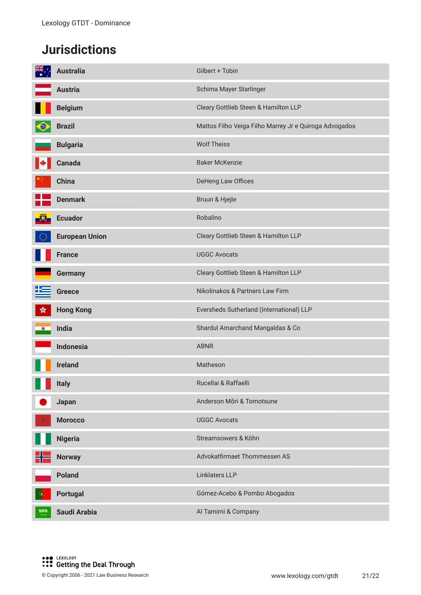## **Jurisdictions**

|               | <b>Australia</b>      | Gilbert + Tobin                                        |
|---------------|-----------------------|--------------------------------------------------------|
|               | <b>Austria</b>        | Schima Mayer Starlinger                                |
|               | <b>Belgium</b>        | Cleary Gottlieb Steen & Hamilton LLP                   |
|               | <b>Brazil</b>         | Mattos Filho Veiga Filho Marrey Jr e Quiroga Advogados |
|               | <b>Bulgaria</b>       | <b>Wolf Theiss</b>                                     |
|               | <b>Canada</b>         | <b>Baker McKenzie</b>                                  |
|               | <b>China</b>          | DeHeng Law Offices                                     |
|               | <b>Denmark</b>        | Bruun & Hjejle                                         |
|               | <b>Ecuador</b>        | Robalino                                               |
|               | <b>European Union</b> | Cleary Gottlieb Steen & Hamilton LLP                   |
|               | <b>France</b>         | <b>UGGC Avocats</b>                                    |
|               | <b>Germany</b>        | Cleary Gottlieb Steen & Hamilton LLP                   |
|               | <b>Greece</b>         | Nikolinakos & Partners Law Firm                        |
| $\mathcal{L}$ | <b>Hong Kong</b>      | Eversheds Sutherland (International) LLP               |
| $\bullet$     | <b>India</b>          | Shardul Amarchand Mangaldas & Co                       |
|               | <b>Indonesia</b>      | <b>ABNR</b>                                            |
|               | <b>Ireland</b>        | Matheson                                               |
|               | Italy                 | Rucellai & Raffaelli                                   |
|               | Japan                 | Anderson Mōri & Tomotsune                              |
| ारे           | <b>Morocco</b>        | <b>UGGC Avocats</b>                                    |
|               | <b>Nigeria</b>        | Streamsowers & Köhn                                    |
|               | <b>Norway</b>         | Advokatfirmaet Thommessen AS                           |
|               | <b>Poland</b>         | Linklaters LLP                                         |
|               | <b>Portugal</b>       | Gómez-Acebo & Pombo Abogados                           |
| 激興的           | Saudi Arabia          | Al Tamimi & Company                                    |